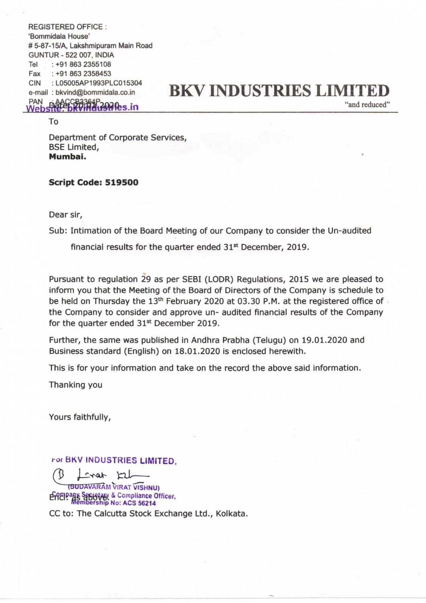REGISTERED OFFICE : 'Bommidala House' # 5-87-15/A, Lakshmipuram Main Road GUNTUR - 522 007, INDIA Tel : +91 863 2355108 Fax : +91 863 2358453 CIN :LO5005AP1993PLC015304

## CIN : L05005AP1993PLC015304<br>e-mail : bkvind@bommidala.co.in BKV INDUSTRIES LIMITED  $PAN$  hand  $OROR$  be-mail bod in  $N$  in  $N$  in  $N$  in  $N$  in  $N$  in  $N$  is  $N$  in  $N$  and reduced"

Department of Corporate Services, BSE Limited, Mumbai.

## Script Code: 519500

Dear sir,

To

Sub: Intimation of the Board Meeting of our Company to consider the Un-audited

financial results for the quarter ended 31<sup>st</sup> December, 2019.

Pursuant to regulation 29 as per SEBI (LODR) Regulations, 2015 we are pleased to inform you that the Meeting of the Board of Directors of the Company is schedule to be held on Thursday the 13<sup>th</sup> February 2020 at 03.30 P.M. at the registered office of the Company to consider and approve un- audited financial results of the Company for the quarter ended 31<sup>st</sup> December 2019.

Further, the same was published in Andhra Prabha (Telugu) on 19.01.2020 and Business standard (English) on 18.01.2020 is enclosed herewith.

This is for your information and take on the record the above said information.

Thanking you

Yours faithfully,

ror BKV INDUSTRIES LIMITED,

 $Svalr$   $\Box$ 

(BUDAVARAM VIRAT VISHNU) EREIP BY Septetary & Compliance Officer,

CC to: The Calcutta Stock Exchange Ltd., Kolkata.